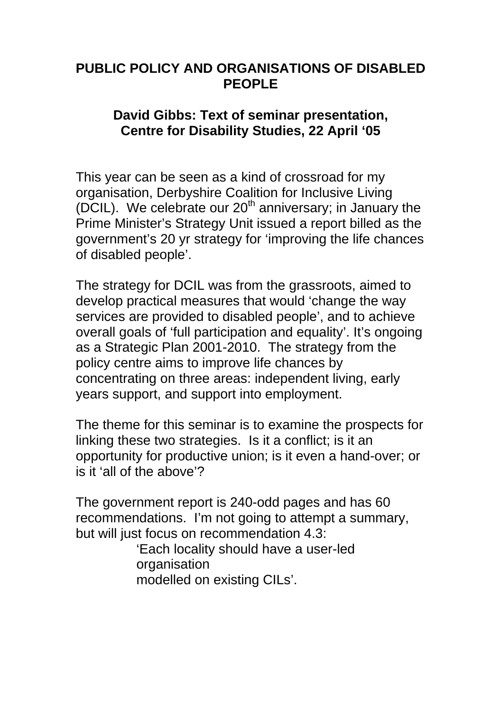# **PUBLIC POLICY AND ORGANISATIONS OF DISABLED PEOPLE**

#### **David Gibbs: Text of seminar presentation, Centre for Disability Studies, 22 April '05**

This year can be seen as a kind of crossroad for my organisation, Derbyshire Coalition for Inclusive Living (DCIL). We celebrate our  $20<sup>th</sup>$  anniversary; in January the Prime Minister's Strategy Unit issued a report billed as the government's 20 yr strategy for 'improving the life chances of disabled people'.

The strategy for DCIL was from the grassroots, aimed to develop practical measures that would 'change the way services are provided to disabled people', and to achieve overall goals of 'full participation and equality'. It's ongoing as a Strategic Plan 2001-2010. The strategy from the policy centre aims to improve life chances by concentrating on three areas: independent living, early years support, and support into employment.

The theme for this seminar is to examine the prospects for linking these two strategies. Is it a conflict; is it an opportunity for productive union; is it even a hand-over; or is it 'all of the above'?

The government report is 240-odd pages and has 60 recommendations. I'm not going to attempt a summary, but will just focus on recommendation 4.3:

> 'Each locality should have a user-led organisation modelled on existing CILs'.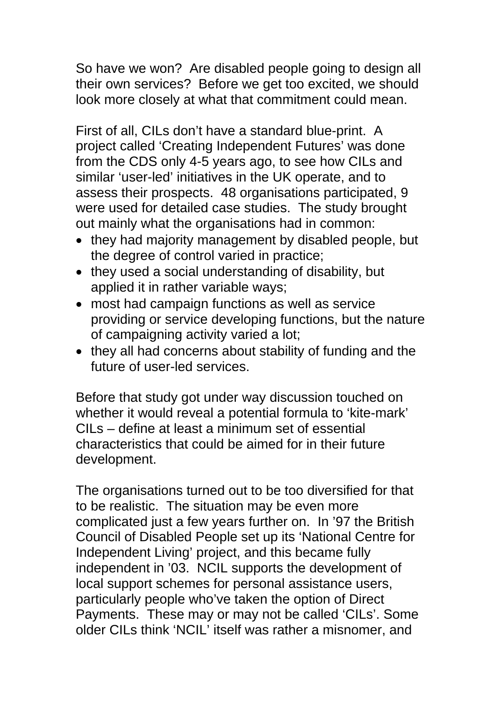So have we won? Are disabled people going to design all their own services? Before we get too excited, we should look more closely at what that commitment could mean.

First of all, CILs don't have a standard blue-print. A project called 'Creating Independent Futures' was done from the CDS only 4-5 years ago, to see how CILs and similar 'user-led' initiatives in the UK operate, and to assess their prospects. 48 organisations participated, 9 were used for detailed case studies. The study brought out mainly what the organisations had in common:

- they had majority management by disabled people, but the degree of control varied in practice;
- they used a social understanding of disability, but applied it in rather variable ways;
- most had campaign functions as well as service providing or service developing functions, but the nature of campaigning activity varied a lot;
- they all had concerns about stability of funding and the future of user-led services.

Before that study got under way discussion touched on whether it would reveal a potential formula to 'kite-mark' CILs – define at least a minimum set of essential characteristics that could be aimed for in their future development.

The organisations turned out to be too diversified for that to be realistic. The situation may be even more complicated just a few years further on. In '97 the British Council of Disabled People set up its 'National Centre for Independent Living' project, and this became fully independent in '03. NCIL supports the development of local support schemes for personal assistance users, particularly people who've taken the option of Direct Payments. These may or may not be called 'CILs'. Some older CILs think 'NCIL' itself was rather a misnomer, and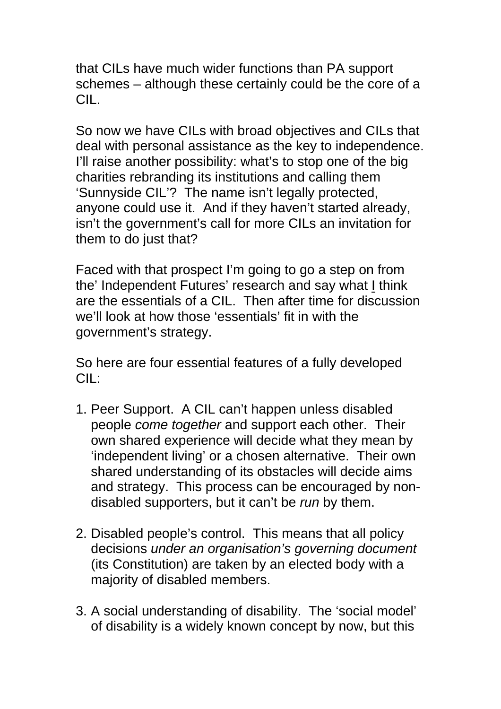that CILs have much wider functions than PA support schemes – although these certainly could be the core of a CIL.

So now we have CILs with broad objectives and CILs that deal with personal assistance as the key to independence. I'll raise another possibility: what's to stop one of the big charities rebranding its institutions and calling them 'Sunnyside CIL'? The name isn't legally protected, anyone could use it. And if they haven't started already, isn't the government's call for more CILs an invitation for them to do just that?

Faced with that prospect I'm going to go a step on from the' Independent Futures' research and say what  $I$  think</u> are the essentials of a CIL. Then after time for discussion we'll look at how those 'essentials' fit in with the government's strategy.

So here are four essential features of a fully developed CIL:

- 1. Peer Support. A CIL can't happen unless disabled people *come together* and support each other. Their own shared experience will decide what they mean by 'independent living' or a chosen alternative. Their own shared understanding of its obstacles will decide aims and strategy. This process can be encouraged by nondisabled supporters, but it can't be *run* by them.
- 2. Disabled people's control. This means that all policy decisions *under an organisation's governing document*  (its Constitution) are taken by an elected body with a majority of disabled members.
- 3. A social understanding of disability. The 'social model' of disability is a widely known concept by now, but this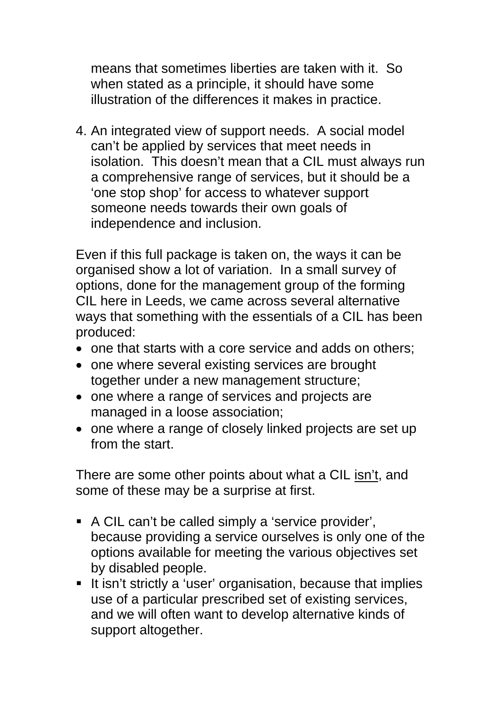means that sometimes liberties are taken with it. So when stated as a principle, it should have some illustration of the differences it makes in practice.

4. An integrated view of support needs. A social model can't be applied by services that meet needs in isolation. This doesn't mean that a CIL must always run a comprehensive range of services, but it should be a 'one stop shop' for access to whatever support someone needs towards their own goals of independence and inclusion.

Even if this full package is taken on, the ways it can be organised show a lot of variation. In a small survey of options, done for the management group of the forming CIL here in Leeds, we came across several alternative ways that something with the essentials of a CIL has been produced:

- one that starts with a core service and adds on others;
- one where several existing services are brought together under a new management structure;
- one where a range of services and projects are managed in a loose association;
- one where a range of closely linked projects are set up from the start.

There are some other points about what a CIL isn't, and some of these may be a surprise at first.

- A CIL can't be called simply a 'service provider', because providing a service ourselves is only one of the options available for meeting the various objectives set by disabled people.
- It isn't strictly a 'user' organisation, because that implies use of a particular prescribed set of existing services, and we will often want to develop alternative kinds of support altogether.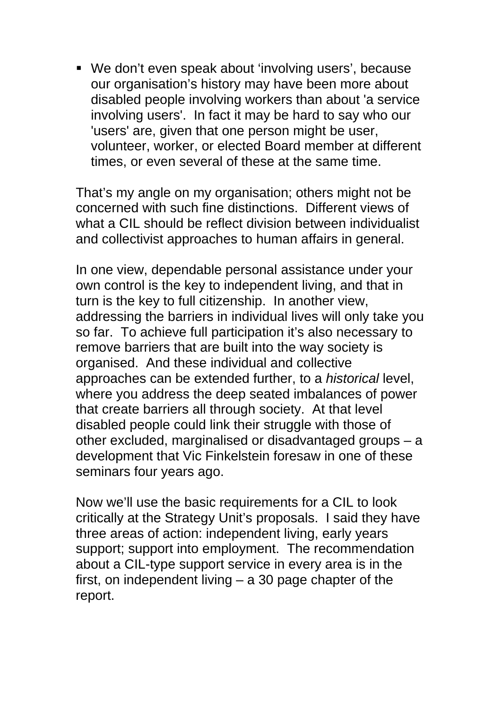We don't even speak about 'involving users', because our organisation's history may have been more about disabled people involving workers than about 'a service involving users'. In fact it may be hard to say who our 'users' are, given that one person might be user, volunteer, worker, or elected Board member at different times, or even several of these at the same time.

That's my angle on my organisation; others might not be concerned with such fine distinctions. Different views of what a CIL should be reflect division between individualist and collectivist approaches to human affairs in general.

In one view, dependable personal assistance under your own control is the key to independent living, and that in turn is the key to full citizenship. In another view, addressing the barriers in individual lives will only take you so far. To achieve full participation it's also necessary to remove barriers that are built into the way society is organised. And these individual and collective approaches can be extended further, to a *historical* level, where you address the deep seated imbalances of power that create barriers all through society. At that level disabled people could link their struggle with those of other excluded, marginalised or disadvantaged groups – a development that Vic Finkelstein foresaw in one of these seminars four years ago.

Now we'll use the basic requirements for a CIL to look critically at the Strategy Unit's proposals. I said they have three areas of action: independent living, early years support; support into employment. The recommendation about a CIL-type support service in every area is in the first, on independent living – a 30 page chapter of the report.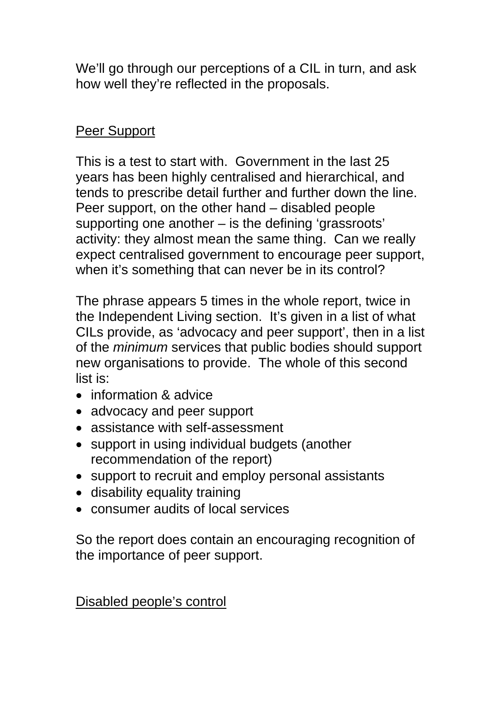We'll go through our perceptions of a CIL in turn, and ask how well they're reflected in the proposals.

# Peer Support

This is a test to start with. Government in the last 25 years has been highly centralised and hierarchical, and tends to prescribe detail further and further down the line. Peer support, on the other hand – disabled people supporting one another – is the defining 'grassroots' activity: they almost mean the same thing. Can we really expect centralised government to encourage peer support, when it's something that can never be in its control?

The phrase appears 5 times in the whole report, twice in the Independent Living section. It's given in a list of what CILs provide, as 'advocacy and peer support', then in a list of the *minimum* services that public bodies should support new organisations to provide. The whole of this second list is:

- information & advice
- advocacy and peer support
- assistance with self-assessment
- support in using individual budgets (another recommendation of the report)
- support to recruit and employ personal assistants
- disability equality training
- consumer audits of local services

So the report does contain an encouraging recognition of the importance of peer support.

Disabled people's control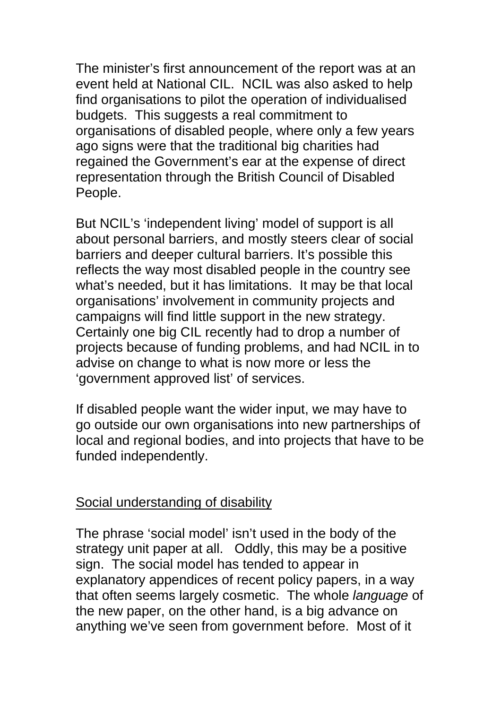The minister's first announcement of the report was at an event held at National CIL. NCIL was also asked to help find organisations to pilot the operation of individualised budgets. This suggests a real commitment to organisations of disabled people, where only a few years ago signs were that the traditional big charities had regained the Government's ear at the expense of direct representation through the British Council of Disabled People.

But NCIL's 'independent living' model of support is all about personal barriers, and mostly steers clear of social barriers and deeper cultural barriers. It's possible this reflects the way most disabled people in the country see what's needed, but it has limitations. It may be that local organisations' involvement in community projects and campaigns will find little support in the new strategy. Certainly one big CIL recently had to drop a number of projects because of funding problems, and had NCIL in to advise on change to what is now more or less the 'government approved list' of services.

If disabled people want the wider input, we may have to go outside our own organisations into new partnerships of local and regional bodies, and into projects that have to be funded independently.

#### Social understanding of disability

The phrase 'social model' isn't used in the body of the strategy unit paper at all. Oddly, this may be a positive sign. The social model has tended to appear in explanatory appendices of recent policy papers, in a way that often seems largely cosmetic. The whole *language* of the new paper, on the other hand, is a big advance on anything we've seen from government before. Most of it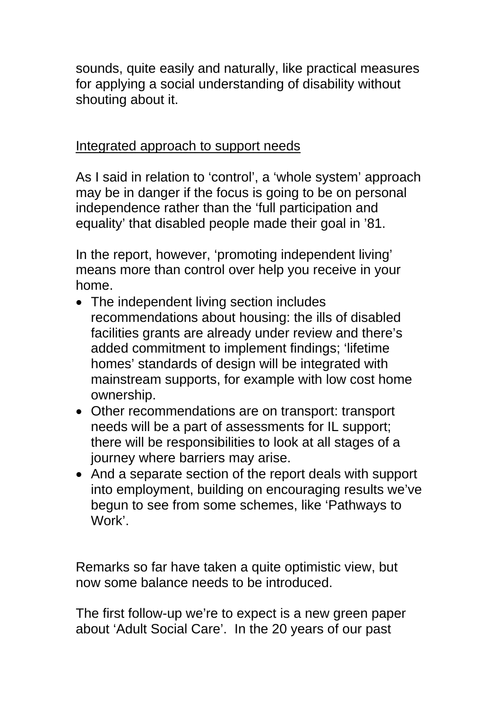sounds, quite easily and naturally, like practical measures for applying a social understanding of disability without shouting about it.

### Integrated approach to support needs

As I said in relation to 'control', a 'whole system' approach may be in danger if the focus is going to be on personal independence rather than the 'full participation and equality' that disabled people made their goal in '81.

In the report, however, 'promoting independent living' means more than control over help you receive in your home.

- The independent living section includes recommendations about housing: the ills of disabled facilities grants are already under review and there's added commitment to implement findings; 'lifetime homes' standards of design will be integrated with mainstream supports, for example with low cost home ownership.
- Other recommendations are on transport: transport needs will be a part of assessments for IL support; there will be responsibilities to look at all stages of a journey where barriers may arise.
- And a separate section of the report deals with support into employment, building on encouraging results we've begun to see from some schemes, like 'Pathways to Work'.

Remarks so far have taken a quite optimistic view, but now some balance needs to be introduced.

The first follow-up we're to expect is a new green paper about 'Adult Social Care'. In the 20 years of our past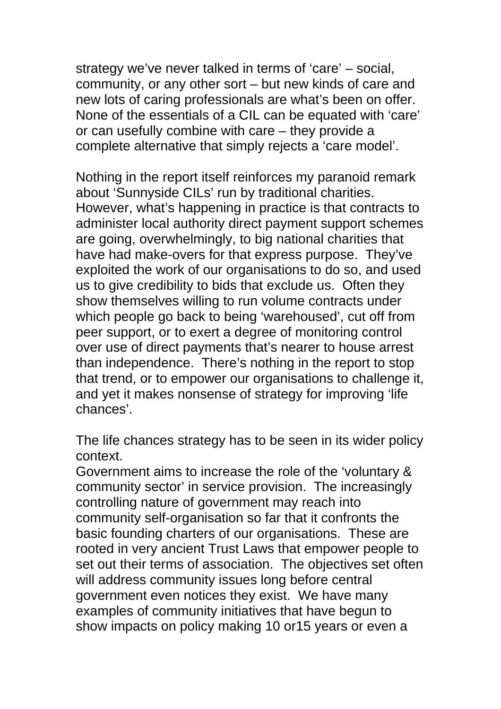strategy we've never talked in terms of 'care' – social, community, or any other sort – but new kinds of care and new lots of caring professionals are what's been on offer. None of the essentials of a CIL can be equated with 'care' or can usefully combine with care – they provide a complete alternative that simply rejects a 'care model'.

Nothing in the report itself reinforces my paranoid remark about 'Sunnyside CILs' run by traditional charities. However, what's happening in practice is that contracts to administer local authority direct payment support schemes are going, overwhelmingly, to big national charities that have had make-overs for that express purpose. They've exploited the work of our organisations to do so, and used us to give credibility to bids that exclude us. Often they show themselves willing to run volume contracts under which people go back to being 'warehoused', cut off from peer support, or to exert a degree of monitoring control over use of direct payments that's nearer to house arrest than independence. There's nothing in the report to stop that trend, or to empower our organisations to challenge it, and yet it makes nonsense of strategy for improving 'life chances'.

The life chances strategy has to be seen in its wider policy context.

Government aims to increase the role of the 'voluntary & community sector' in service provision. The increasingly controlling nature of government may reach into community self-organisation so far that it confronts the basic founding charters of our organisations. These are rooted in very ancient Trust Laws that empower people to set out their terms of association. The objectives set often will address community issues long before central government even notices they exist. We have many examples of community initiatives that have begun to show impacts on policy making 10 or15 years or even a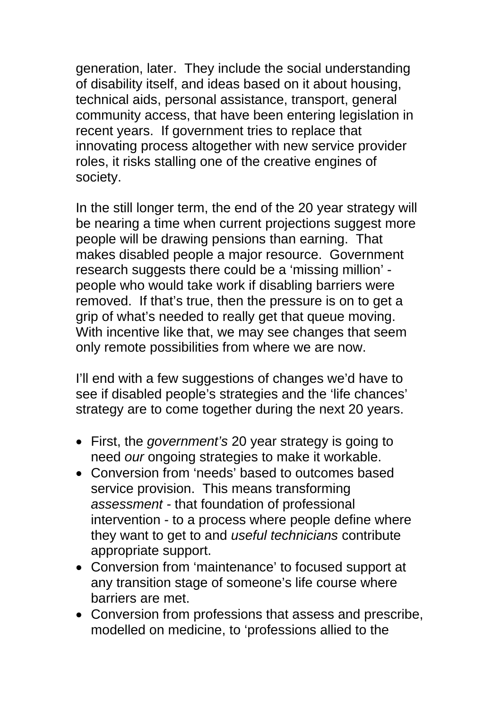generation, later. They include the social understanding of disability itself, and ideas based on it about housing, technical aids, personal assistance, transport, general community access, that have been entering legislation in recent years. If government tries to replace that innovating process altogether with new service provider roles, it risks stalling one of the creative engines of society.

In the still longer term, the end of the 20 year strategy will be nearing a time when current projections suggest more people will be drawing pensions than earning. That makes disabled people a major resource. Government research suggests there could be a 'missing million' people who would take work if disabling barriers were removed. If that's true, then the pressure is on to get a grip of what's needed to really get that queue moving. With incentive like that, we may see changes that seem only remote possibilities from where we are now.

I'll end with a few suggestions of changes we'd have to see if disabled people's strategies and the 'life chances' strategy are to come together during the next 20 years.

- First, the *government's* 20 year strategy is going to need *our* ongoing strategies to make it workable.
- Conversion from 'needs' based to outcomes based service provision. This means transforming *assessment -* that foundation of professional intervention - to a process where people define where they want to get to and *useful technicians* contribute appropriate support.
- Conversion from 'maintenance' to focused support at any transition stage of someone's life course where barriers are met.
- Conversion from professions that assess and prescribe, modelled on medicine, to 'professions allied to the